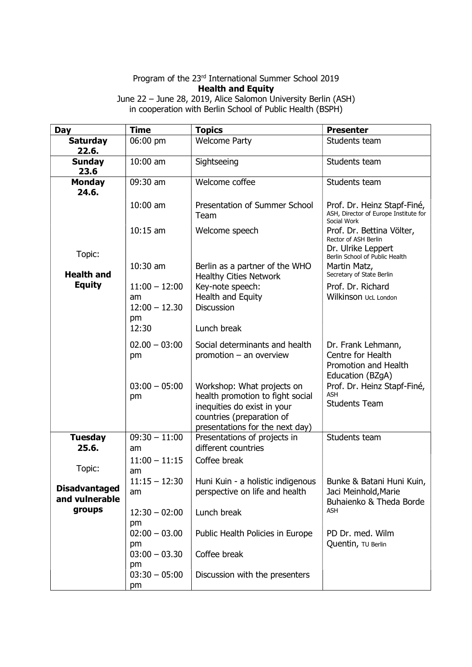## Program of the 23rd International Summer School 2019 Health and Equity

June 22 – June 28, 2019, Alice Salomon University Berlin (ASH) in cooperation with Berlin School of Public Health (BSPH)

| <b>Day</b>                             | <b>Time</b>                              | <b>Topics</b>                                                                                                                                                 | <b>Presenter</b>                                                                    |
|----------------------------------------|------------------------------------------|---------------------------------------------------------------------------------------------------------------------------------------------------------------|-------------------------------------------------------------------------------------|
| <b>Saturday</b><br>22.6.               | 06:00 pm                                 | <b>Welcome Party</b>                                                                                                                                          | Students team                                                                       |
| <b>Sunday</b><br>23.6                  | $10:00$ am                               | Sightseeing                                                                                                                                                   | Students team                                                                       |
| <b>Monday</b><br>24.6.                 | 09:30 am                                 | Welcome coffee                                                                                                                                                | Students team                                                                       |
|                                        | $10:00$ am                               | Presentation of Summer School<br>Team                                                                                                                         | Prof. Dr. Heinz Stapf-Finé,<br>ASH, Director of Europe Institute for<br>Social Work |
|                                        | $10:15$ am                               | Welcome speech                                                                                                                                                | Prof. Dr. Bettina Völter,<br>Rector of ASH Berlin<br>Dr. Ulrike Leppert             |
| Topic:                                 |                                          |                                                                                                                                                               | Berlin School of Public Health                                                      |
| <b>Health and</b>                      | $10:30$ am                               | Berlin as a partner of the WHO<br><b>Healthy Cities Network</b>                                                                                               | Martin Matz,<br>Secretary of State Berlin                                           |
| <b>Equity</b>                          | $11:00 - 12:00$<br>am<br>$12:00 - 12.30$ | Key-note speech:<br>Health and Equity<br><b>Discussion</b>                                                                                                    | Prof. Dr. Richard<br>Wilkinson UcL London                                           |
|                                        | pm<br>12:30                              | Lunch break                                                                                                                                                   |                                                                                     |
|                                        | $02.00 - 03:00$<br>pm                    | Social determinants and health<br>promotion - an overview                                                                                                     | Dr. Frank Lehmann,<br>Centre for Health<br>Promotion and Health<br>Education (BZgA) |
|                                        | $03:00 - 05:00$<br>pm                    | Workshop: What projects on<br>health promotion to fight social<br>inequities do exist in your<br>countries (preparation of<br>presentations for the next day) | Prof. Dr. Heinz Stapf-Finé,<br><b>ASH</b><br><b>Students Team</b>                   |
| <b>Tuesday</b><br>25.6.                | $09:30 - 11:00$<br>am                    | Presentations of projects in<br>different countries                                                                                                           | Students team                                                                       |
| Topic:                                 | $11:00 - 11:15$<br>am                    | Coffee break                                                                                                                                                  |                                                                                     |
| <b>Disadvantaged</b><br>and vulnerable | $11:15 - 12:30$<br>am                    | Huni Kuin - a holistic indigenous<br>perspective on life and health                                                                                           | Bunke & Batani Huni Kuin,<br>Jaci Meinhold, Marie<br>Buhaienko & Theda Borde        |
| groups                                 | $12:30 - 02:00$                          | Lunch break                                                                                                                                                   | ASH                                                                                 |
|                                        | pm<br>$02:00 - 03.00$<br>pm              | Public Health Policies in Europe                                                                                                                              | PD Dr. med. Wilm<br>Quentin, TU Berlin                                              |
|                                        | $03:00 - 03.30$<br>pm                    | Coffee break                                                                                                                                                  |                                                                                     |
|                                        | $03:30 - 05:00$<br>pm                    | Discussion with the presenters                                                                                                                                |                                                                                     |